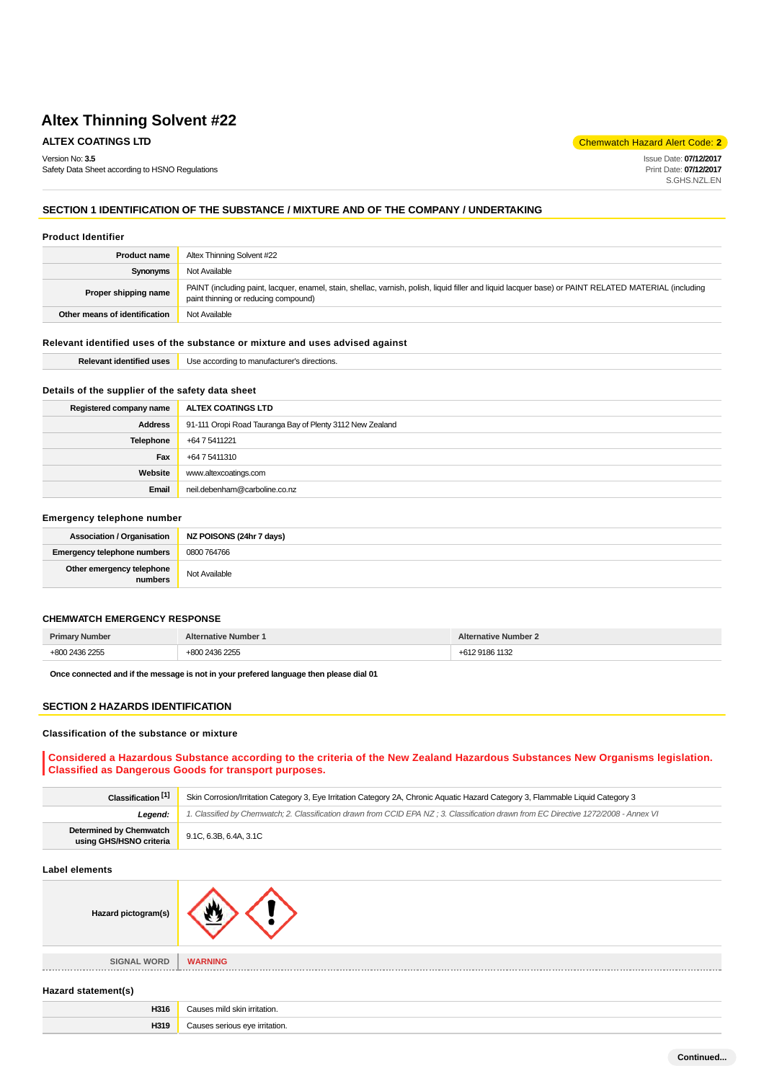**ALTEX COATINGS LTD Chemwatch Hazard Alert Code: 2** 

Version No: **3.5** Safety Data Sheet according to HSNO Regulations Issue Date: **07/12/2017** Print Date: **07/12/2017** S.GHS.NZL.EN

**Continued...**

# **SECTION 1 IDENTIFICATION OF THE SUBSTANCE / MIXTURE AND OF THE COMPANY / UNDERTAKING**

#### **Product Identifier**

| <b>Product name</b>           | Altex Thinning Solvent #22                                                                                                                                                                    |  |
|-------------------------------|-----------------------------------------------------------------------------------------------------------------------------------------------------------------------------------------------|--|
| Synonyms                      | Not Available                                                                                                                                                                                 |  |
| Proper shipping name          | PAINT (including paint, lacquer, enamel, stain, shellac, varnish, polish, liquid filler and liquid lacquer base) or PAINT RELATED MATERIAL (including<br>paint thinning or reducing compound) |  |
| Other means of identification | Not Available                                                                                                                                                                                 |  |

### **Relevant identified uses of the substance or mixture and uses advised against**

| ، Ise<br>directions<br>to manutactu<br>, according to<br>* Identified US <del>c.</del><br>. . |
|-----------------------------------------------------------------------------------------------|
|-----------------------------------------------------------------------------------------------|

### **Details of the supplier of the safety data sheet**

| Registered company name | ALTEX COATINGS LTD                                        |  |
|-------------------------|-----------------------------------------------------------|--|
| <b>Address</b>          | 91-111 Oropi Road Tauranga Bay of Plenty 3112 New Zealand |  |
| Telephone               | +64 7 5411221                                             |  |
| Fax                     | +64 7 5411310                                             |  |
| Website                 | www.altexcoatings.com                                     |  |
| Email                   | neil.debenham@carboline.co.nz                             |  |

#### **Emergency telephone number**

|                                      | Association / Organisation NZ POISONS (24hr 7 days) |
|--------------------------------------|-----------------------------------------------------|
| <b>Emergency telephone numbers</b>   | 0800 764766                                         |
| Other emergency telephone<br>numbers | Not Available                                       |

### **CHEMWATCH EMERGENCY RESPONSE**

|  | . |
|--|---|

**Once connected and if the message is not in your prefered language then please dial 01**

#### **SECTION 2 HAZARDS IDENTIFICATION**

#### **Classification of the substance or mixture**

### **Considered a Hazardous Substance according to the criteria of the New Zealand Hazardous Substances New Organisms legislation. Classified as Dangerous Goods for transport purposes.**

| Classification <sup>[1]</sup>                             | Skin Corrosion/Irritation Category 3, Eye Irritation Category 2A, Chronic Aquatic Hazard Category 3, Flammable Liquid Category 3     |  |
|-----------------------------------------------------------|--------------------------------------------------------------------------------------------------------------------------------------|--|
| Leaend:                                                   | 1. Classified by Chemwatch; 2. Classification drawn from CCID EPA NZ; 3. Classification drawn from EC Directive 1272/2008 - Annex VI |  |
| <b>Determined by Chemwatch</b><br>using GHS/HSNO criteria | 9.1C, 6.3B, 6.4A, 3.1C                                                                                                               |  |

#### **Label elements**

| Hazard pictogram(s) |                |
|---------------------|----------------|
|                     |                |
| <b>SIGNAL WORD</b>  | <b>WARNING</b> |

# **Hazard statement(s)**

| H316 | Causes mild skin irritation.   |
|------|--------------------------------|
| H319 | Causes serious eve irritation. |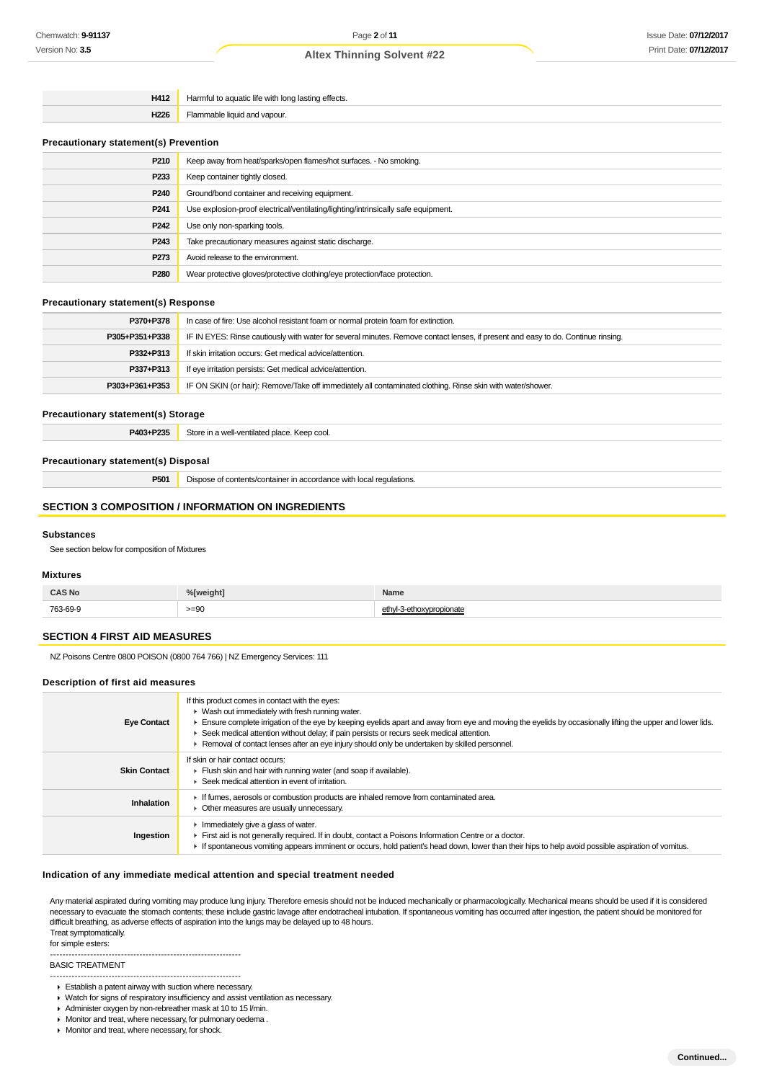| H412 | Harmful to aquatic life with long lasting effects. |
|------|----------------------------------------------------|
| H226 | Flammable liquid and vapour.                       |

#### **Precautionary statement(s) Prevention**

| P210             | Keep away from heat/sparks/open flames/hot surfaces. - No smoking.                |
|------------------|-----------------------------------------------------------------------------------|
| P <sub>233</sub> | Keep container tightly closed.                                                    |
| P <sub>240</sub> | Ground/bond container and receiving equipment.                                    |
| P <sub>241</sub> | Use explosion-proof electrical/ventilating/lighting/intrinsically safe equipment. |
| P <sub>242</sub> | Use only non-sparking tools.                                                      |
| P <sub>243</sub> | Take precautionary measures against static discharge.                             |
| P273             | Avoid release to the environment.                                                 |
| P <sub>280</sub> | Wear protective gloves/protective clothing/eye protection/face protection.        |
|                  |                                                                                   |

## **Precautionary statement(s) Response**

| P370+P378      | In case of fire: Use alcohol resistant foam or normal protein foam for extinction.                                               |  |
|----------------|----------------------------------------------------------------------------------------------------------------------------------|--|
| P305+P351+P338 | IF IN EYES: Rinse cautiously with water for several minutes. Remove contact lenses, if present and easy to do. Continue rinsing. |  |
| P332+P313      | If skin irritation occurs: Get medical advice/attention.                                                                         |  |
| P337+P313      | If eye irritation persists: Get medical advice/attention.                                                                        |  |
| P303+P361+P353 | IF ON SKIN (or hair): Remove/Take off immediately all contaminated clothing. Rinse skin with water/shower.                       |  |

# **Precautionary statement(s) Storage**

P403+P235 Store in a well-ventilated place. Keep cool.

#### **Precautionary statement(s) Disposal**

**P501** Dispose of contents/container in accordance with local regulations.

#### **SECTION 3 COMPOSITION / INFORMATION ON INGREDIENTS**

#### **Substances**

See section below for composition of Mixtures

#### **Mixtures**

| <b>CAS No</b> | %[weight] | <b>Name</b>    |
|---------------|-----------|----------------|
| 763-69-9      | $>= 90$   | voropionate> د |

### **SECTION 4 FIRST AID MEASURES**

NZ Poisons Centre 0800 POISON (0800 764 766) | NZ Emergency Services: 111

## **Description of first aid measures**

| <b>Eye Contact</b>  | If this product comes in contact with the eyes:<br>$\blacktriangleright$ Wash out immediately with fresh running water.<br>Ensure complete irrigation of the eye by keeping eyelids apart and away from eye and moving the eyelids by occasionally lifting the upper and lower lids.<br>► Seek medical attention without delay; if pain persists or recurs seek medical attention.<br>► Removal of contact lenses after an eye injury should only be undertaken by skilled personnel. |
|---------------------|---------------------------------------------------------------------------------------------------------------------------------------------------------------------------------------------------------------------------------------------------------------------------------------------------------------------------------------------------------------------------------------------------------------------------------------------------------------------------------------|
| <b>Skin Contact</b> | If skin or hair contact occurs:<br>Flush skin and hair with running water (and soap if available).<br>Seek medical attention in event of irritation.                                                                                                                                                                                                                                                                                                                                  |
| Inhalation          | If fumes, aerosols or combustion products are inhaled remove from contaminated area.<br>• Other measures are usually unnecessary.                                                                                                                                                                                                                                                                                                                                                     |
| Ingestion           | Immediately give a glass of water.<br>First aid is not generally required. If in doubt, contact a Poisons Information Centre or a doctor.<br>If spontaneous vomiting appears imminent or occurs, hold patient's head down, lower than their hips to help avoid possible aspiration of vomitus.                                                                                                                                                                                        |

#### **Indication of any immediate medical attention and special treatment needed**

Any material aspirated during vomiting may produce lung injury. Therefore emesis should not be induced mechanically or pharmacologically. Mechanical means should be used if it is considered necessary to evacuate the stomach contents; these include gastric lavage after endotracheal intubation. If spontaneous vomiting has occurred after ingestion, the patient should be monitored for difficult breathing, as adverse effects of aspiration into the lungs may be delayed up to 48 hours. Treat symptomatically.

for simple esters:

--------------------------------------------------------------

BASIC TREATMENT

- --------------------------------------------------------------
- Establish a patent airway with suction where necessary.
- Watch for signs of respiratory insufficiency and assist ventilation as necessary.
- Administer oxygen by non-rebreather mask at 10 to 15 l/min. Monitor and treat, where necessary, for pulmonary oedema .
- 
- **Monitor and treat, where necessary, for shock.**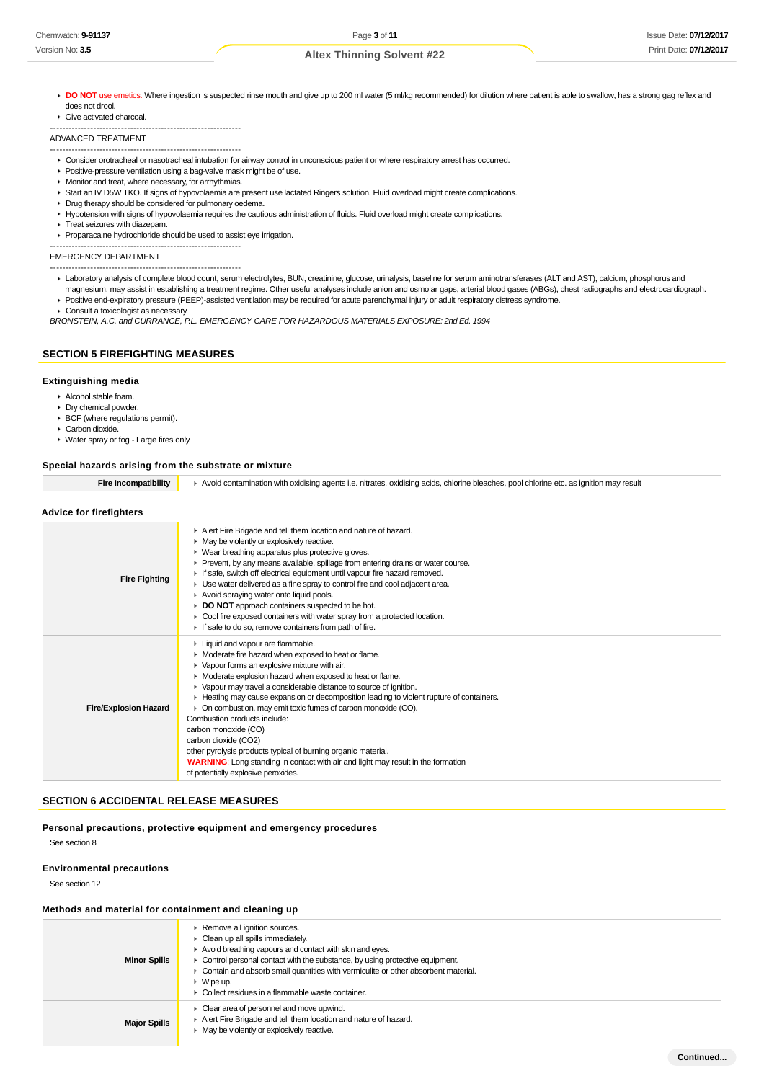DO NOT use emetics. Where ingestion is suspected rinse mouth and give up to 200 ml water (5 ml/kg recommended) for dilution where patient is able to swallow, has a strong gag reflex and does not drool.

Give activated charcoal.

ADVANCED TREATMENT

- -------------------------------------------------------------- Consider orotracheal or nasotracheal intubation for airway control in unconscious patient or where respiratory arrest has occurred.
- Positive-pressure ventilation using a bag-valve mask might be of use.
- **Monitor and treat, where necessary, for arrhythmias.**

--------------------------------------------------------------

- Start an IV D5W TKO. If signs of hypovolaemia are present use lactated Ringers solution. Fluid overload might create complications.
- Drug therapy should be considered for pulmonary oedema.
- Hypotension with signs of hypovolaemia requires the cautious administration of fluids. Fluid overload might create complications.
- Treat seizures with diazepam.
- Proparacaine hydrochloride should be used to assist eye irrigation. --------------------------------------------------------------

EMERGENCY DEPARTMENT

- --------------------------------------------------------------
- Laboratory analysis of complete blood count, serum electrolytes, BUN, creatinine, glucose, urinalysis, baseline for serum aminotransferases (ALT and AST), calcium, phosphorus and magnesium, may assist in establishing a treatment regime. Other useful analyses include anion and osmolar gaps, arterial blood gases (ABGs), chest radiographs and electrocardiograph.
- Positive end-expiratory pressure (PEEP)-assisted ventilation may be required for acute parenchymal injury or adult respiratory distress syndrome.
- ▶ Consult a toxicologist as necessary.

BRONSTEIN, A.C. and CURRANCE, P.L. EMERGENCY CARE FOR HAZARDOUS MATERIALS EXPOSURE: 2nd Ed. 1994

### **SECTION 5 FIREFIGHTING MEASURES**

#### **Extinguishing media**

- Alcohol stable foam.
- Dry chemical powder.
- $\overrightarrow{BCF}$  (where regulations permit).
- Carbon dioxide. Water spray or fog - Large fires only.

#### **Special hazards arising from the substrate or mixture**

| <b>Fire Incompatibility</b>    | Avoid contamination with oxidising agents i.e. nitrates, oxidising acids, chlorine bleaches, pool chlorine etc. as ignition may result                                                                                                                                                                                                                                                                                                                                                                                                                                                                                                                                                                                        |  |
|--------------------------------|-------------------------------------------------------------------------------------------------------------------------------------------------------------------------------------------------------------------------------------------------------------------------------------------------------------------------------------------------------------------------------------------------------------------------------------------------------------------------------------------------------------------------------------------------------------------------------------------------------------------------------------------------------------------------------------------------------------------------------|--|
| <b>Advice for firefighters</b> |                                                                                                                                                                                                                                                                                                                                                                                                                                                                                                                                                                                                                                                                                                                               |  |
| <b>Fire Fighting</b>           | Alert Fire Brigade and tell them location and nature of hazard.<br>• May be violently or explosively reactive.<br>▶ Wear breathing apparatus plus protective gloves.<br>► Prevent, by any means available, spillage from entering drains or water course.<br>If safe, switch off electrical equipment until vapour fire hazard removed.<br>► Use water delivered as a fine spray to control fire and cool adjacent area.<br>Avoid spraying water onto liquid pools.<br>DO NOT approach containers suspected to be hot.<br>• Cool fire exposed containers with water spray from a protected location.<br>If safe to do so, remove containers from path of fire.                                                                |  |
| <b>Fire/Explosion Hazard</b>   | Liquid and vapour are flammable.<br>• Moderate fire hazard when exposed to heat or flame.<br>• Vapour forms an explosive mixture with air.<br>• Moderate explosion hazard when exposed to heat or flame.<br>▶ Vapour may travel a considerable distance to source of ignition.<br>Heating may cause expansion or decomposition leading to violent rupture of containers.<br>• On combustion, may emit toxic fumes of carbon monoxide (CO).<br>Combustion products include:<br>carbon monoxide (CO)<br>carbon dioxide (CO2)<br>other pyrolysis products typical of burning organic material.<br><b>WARNING:</b> Long standing in contact with air and light may result in the formation<br>of potentially explosive peroxides. |  |

#### **SECTION 6 ACCIDENTAL RELEASE MEASURES**

#### **Personal precautions, protective equipment and emergency procedures**

See section 8

#### **Environmental precautions**

See section 12

#### **Methods and material for containment and cleaning up**

| <b>Minor Spills</b> | Remove all ignition sources.<br>$\triangleright$ Clean up all spills immediately.<br>Avoid breathing vapours and contact with skin and eyes.<br>$\triangleright$ Control personal contact with the substance, by using protective equipment.<br>• Contain and absorb small quantities with vermiculite or other absorbent material.<br>$\triangleright$ Wipe up.<br>• Collect residues in a flammable waste container. |
|---------------------|------------------------------------------------------------------------------------------------------------------------------------------------------------------------------------------------------------------------------------------------------------------------------------------------------------------------------------------------------------------------------------------------------------------------|
| <b>Major Spills</b> | $\triangleright$ Clear area of personnel and move upwind.<br>Alert Fire Brigade and tell them location and nature of hazard.<br>May be violently or explosively reactive.                                                                                                                                                                                                                                              |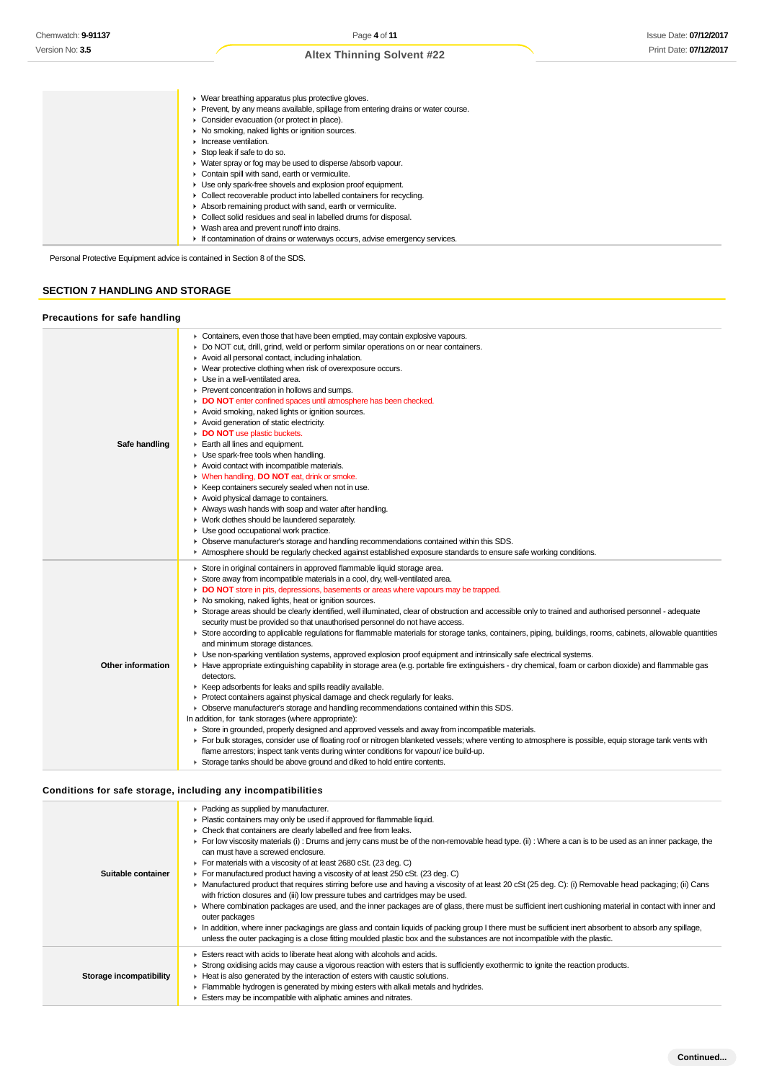# **SECTION 7 HANDLING AND STORAGE**

#### **Precautions for safe handling**

| Chemwatch: 9-91137                    | Page 4 of 11<br><b>Issue Date: 07/12/201</b>                                                                                                                          |
|---------------------------------------|-----------------------------------------------------------------------------------------------------------------------------------------------------------------------|
| Version No: 3.5                       | Print Date: 07/12/201                                                                                                                                                 |
|                                       | <b>Altex Thinning Solvent #22</b>                                                                                                                                     |
|                                       |                                                                                                                                                                       |
|                                       |                                                                                                                                                                       |
|                                       | • Wear breathing apparatus plus protective gloves.                                                                                                                    |
|                                       | Prevent, by any means available, spillage from entering drains or water course.                                                                                       |
|                                       | Consider evacuation (or protect in place).                                                                                                                            |
|                                       | • No smoking, naked lights or ignition sources.                                                                                                                       |
|                                       | Increase ventilation.<br>▶ Stop leak if safe to do so.                                                                                                                |
|                                       | • Water spray or fog may be used to disperse /absorb vapour.                                                                                                          |
|                                       | Contain spill with sand, earth or vermiculite.                                                                                                                        |
|                                       | • Use only spark-free shovels and explosion proof equipment.                                                                                                          |
|                                       | • Collect recoverable product into labelled containers for recycling.                                                                                                 |
|                                       | Absorb remaining product with sand, earth or vermiculite.                                                                                                             |
|                                       | • Collect solid residues and seal in labelled drums for disposal.                                                                                                     |
|                                       | • Wash area and prevent runoff into drains.<br>If contamination of drains or waterways occurs, advise emergency services.                                             |
|                                       |                                                                                                                                                                       |
|                                       | Personal Protective Equipment advice is contained in Section 8 of the SDS.                                                                                            |
|                                       |                                                                                                                                                                       |
| <b>SECTION 7 HANDLING AND STORAGE</b> |                                                                                                                                                                       |
|                                       |                                                                                                                                                                       |
|                                       |                                                                                                                                                                       |
| Precautions for safe handling         |                                                                                                                                                                       |
|                                       | • Containers, even those that have been emptied, may contain explosive vapours.                                                                                       |
|                                       | • Do NOT cut, drill, grind, weld or perform similar operations on or near containers.                                                                                 |
|                                       | Avoid all personal contact, including inhalation.                                                                                                                     |
|                                       | • Wear protective clothing when risk of overexposure occurs.                                                                                                          |
|                                       | • Use in a well-ventilated area.<br>Prevent concentration in hollows and sumps.                                                                                       |
|                                       | DO NOT enter confined spaces until atmosphere has been checked.                                                                                                       |
|                                       | Avoid smoking, naked lights or ignition sources.                                                                                                                      |
|                                       | Avoid generation of static electricity.                                                                                                                               |
|                                       | DO NOT use plastic buckets.                                                                                                                                           |
| Safe handling                         | Earth all lines and equipment.                                                                                                                                        |
|                                       | • Use spark-free tools when handling.                                                                                                                                 |
|                                       | Avoid contact with incompatible materials.<br><b>Notable 10 When handling, DO NOT</b> eat, drink or smoke.                                                            |
|                                       | ► Keep containers securely sealed when not in use.                                                                                                                    |
|                                       | Avoid physical damage to containers.                                                                                                                                  |
|                                       | Always wash hands with soap and water after handling.                                                                                                                 |
|                                       | ▶ Work clothes should be laundered separately.                                                                                                                        |
|                                       | • Use good occupational work practice.                                                                                                                                |
|                                       | ► Observe manufacturer's storage and handling recommendations contained within this SDS.                                                                              |
|                                       | Atmosphere should be regularly checked against established exposure standards to ensure safe working conditions.                                                      |
|                                       | Store in original containers in approved flammable liquid storage area.                                                                                               |
|                                       | Store away from incompatible materials in a cool, dry, well-ventilated area.                                                                                          |
|                                       | DO NOT store in pits, depressions, basements or areas where vapours may be trapped.<br>• No smoking, naked lights, heat or ignition sources.                          |
|                                       | ▶ Storage areas should be clearly identified, well illuminated, clear of obstruction and accessible only to trained and authorised personnel - adequate               |
|                                       | security must be provided so that unauthorised personnel do not have access.                                                                                          |
|                                       | ► Store according to applicable regulations for flammable materials for storage tanks, containers, piping, buildings, rooms, cabinets, allowable quantities           |
|                                       | and minimum storage distances.                                                                                                                                        |
|                                       | • Use non-sparking ventilation systems, approved explosion proof equipment and intrinsically safe electrical systems.                                                 |
| <b>Other information</b>              | ► Have appropriate extinguishing capability in storage area (e.g. portable fire extinguishers - dry chemical, foam or carbon dioxide) and flammable gas<br>detectors. |
|                                       | ▶ Keep adsorbents for leaks and spills readily available.                                                                                                             |
|                                       | Protect containers against physical damage and check regularly for leaks.                                                                                             |
|                                       | • Observe manufacturer's storage and handling recommendations contained within this SDS.                                                                              |
|                                       | In addition, for tank storages (where appropriate):                                                                                                                   |
|                                       | ► Store in grounded, properly designed and approved vessels and away from incompatible materials.                                                                     |
|                                       | For bulk storages, consider use of floating roof or nitrogen blanketed vessels; where venting to atmosphere is possible, equip storage tank vents with                |
|                                       | flame arrestors; inspect tank vents during winter conditions for vapour/ice build-up.<br>Storage tanks should be above ground and diked to hold entire contents.      |
|                                       |                                                                                                                                                                       |
|                                       |                                                                                                                                                                       |
|                                       | Conditions for safe storage, including any incompatibilities                                                                                                          |
|                                       | ▶ Packing as supplied by manufacturer.                                                                                                                                |
|                                       | • Plastic containers may only be used if approved for flammable liquid.                                                                                               |
|                                       | • Check that containers are clearly labelled and free from leaks.                                                                                                     |
|                                       | For low viscosity materials (i) : Drums and jerry cans must be of the non-removable head type. (ii) : Where a can is to be used as an inner package, the              |
|                                       | can must have a screwed enclosure.                                                                                                                                    |
| Suitable container                    | ▶ For materials with a viscosity of at least 2680 cSt. (23 deg. C)<br>For manufactured product having a viscosity of at least 250 cSt. (23 deg. C)                    |
|                                       | ► Manufactured product that requires stirring before use and having a viscosity of at least 20 cSt (25 deg. C): (i) Removable head packaging; (ii) Cans               |
|                                       | with friction closures and (iii) low pressure tubes and cartridges may be used.                                                                                       |
|                                       | > Where combination packages are used, and the inner packages are of glass, there must be sufficient inert cushioning material in contact with inner and              |
|                                       | outer packages                                                                                                                                                        |
|                                       | In addition, where inner packagings are glass and contain liquids of packing group I there must be sufficient inert absorbent to absorb any spillage,                 |
|                                       | unless the outer packaging is a close fitting moulded plastic box and the substances are not incompatible with the plastic.                                           |
|                                       | Esters react with acids to liberate heat along with alcohols and acids.                                                                                               |
|                                       | ► Strong oxidising acids may cause a vigorous reaction with esters that is sufficiently exothermic to ignite the reaction products.                                   |
| Storage incompatibility               | • Heat is also generated by the interaction of esters with caustic solutions.                                                                                         |
|                                       | Flammable hydrogen is generated by mixing esters with alkali metals and hydrides.<br>Esters may be incompatible with aliphatic amines and nitrates.                   |

# **Conditions for safe storage, including any incompatibilities**

| Suitable container      | • Packing as supplied by manufacturer.<br>• Plastic containers may only be used if approved for flammable liquid.<br>• Check that containers are clearly labelled and free from leaks.<br>For low viscosity materials (i): Drums and jerry cans must be of the non-removable head type. (ii): Where a can is to be used as an inner package, the<br>can must have a screwed enclosure.<br>For materials with a viscosity of at least 2680 cSt. (23 deg. C)<br>For manufactured product having a viscosity of at least 250 cSt. (23 deg. C)<br>• Manufactured product that requires stirring before use and having a viscosity of at least 20 cSt (25 deg. C): (i) Removable head packaging; (ii) Cans<br>with friction closures and (iii) low pressure tubes and cartridges may be used.<br>> Where combination packages are used, and the inner packages are of glass, there must be sufficient inert cushioning material in contact with inner and<br>outer packages<br>In addition, where inner packagings are glass and contain liquids of packing group I there must be sufficient inert absorbent to absorb any spillage,<br>unless the outer packaging is a close fitting moulded plastic box and the substances are not incompatible with the plastic. |
|-------------------------|----------------------------------------------------------------------------------------------------------------------------------------------------------------------------------------------------------------------------------------------------------------------------------------------------------------------------------------------------------------------------------------------------------------------------------------------------------------------------------------------------------------------------------------------------------------------------------------------------------------------------------------------------------------------------------------------------------------------------------------------------------------------------------------------------------------------------------------------------------------------------------------------------------------------------------------------------------------------------------------------------------------------------------------------------------------------------------------------------------------------------------------------------------------------------------------------------------------------------------------------------------------|
| Storage incompatibility | Esters react with acids to liberate heat along with alcohols and acids.<br>► Strong oxidising acids may cause a vigorous reaction with esters that is sufficiently exothermic to ignite the reaction products.<br>Heat is also generated by the interaction of esters with caustic solutions.<br>Flammable hydrogen is generated by mixing esters with alkali metals and hydrides.<br>Esters may be incompatible with aliphatic amines and nitrates.                                                                                                                                                                                                                                                                                                                                                                                                                                                                                                                                                                                                                                                                                                                                                                                                           |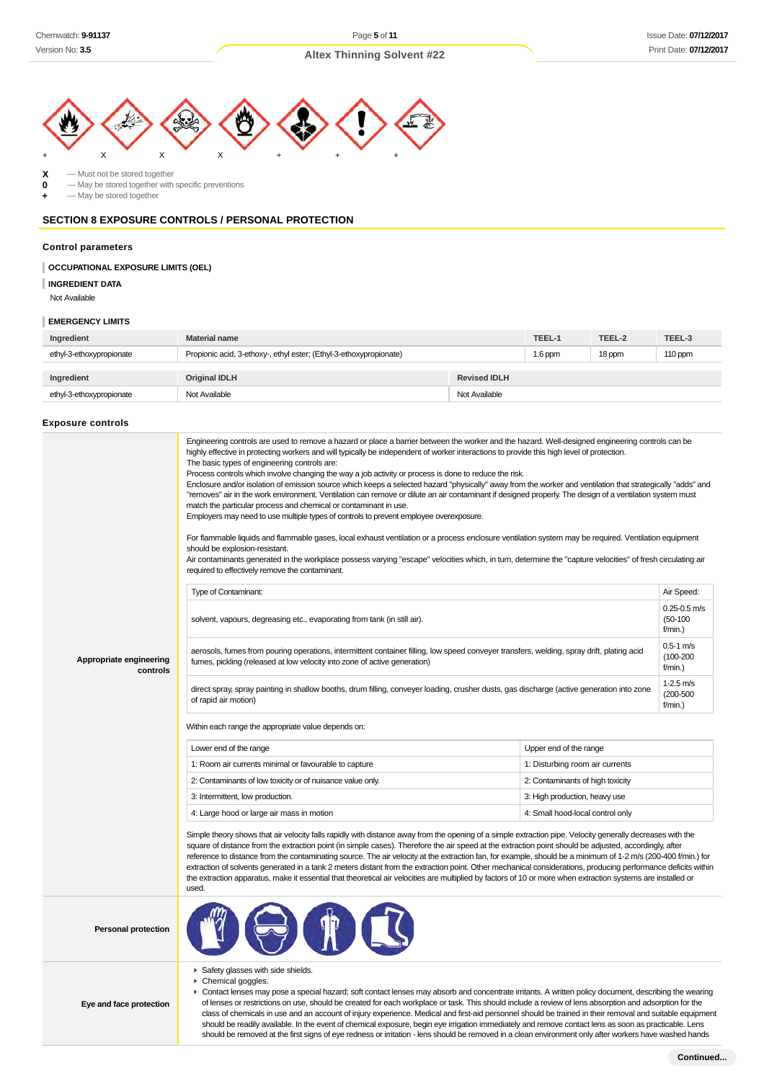

 $\begin{array}{ccc} \mathbf{X} & -$  Must not be stored together<br>  $\mathbf{0} & -$  May be stored together with

**0** — May be stored together with specific preventions

**+** — May be stored together

# **SECTION 8 EXPOSURE CONTROLS / PERSONAL PROTECTION**

#### **Control parameters**

### **OCCUPATIONAL EXPOSURE LIMITS (OEL)**

**INGREDIENT DATA**

Not Available

### **EMERGENCY LIMITS**

| Ingredient               | <b>Material name</b>                                               |                     | TEEL-1    | TEEL-2 | TEEL-3  |
|--------------------------|--------------------------------------------------------------------|---------------------|-----------|--------|---------|
| ethyl-3-ethoxypropionate | Propionic acid, 3-ethoxy-, ethyl ester; (Ethyl-3-ethoxypropionate) |                     | $1.6$ ppm | 18 ppm | 110 ppm |
|                          |                                                                    |                     |           |        |         |
| Ingredient               | <b>Original IDLH</b>                                               | <b>Revised IDLH</b> |           |        |         |
| ethyl-3-ethoxypropionate | Not Available                                                      | Not Available       |           |        |         |

#### **Exposure controls**

|                                     | Engineering controls are used to remove a hazard or place a barrier between the worker and the hazard. Well-designed engineering controls can be<br>highly effective in protecting workers and will typically be independent of worker interactions to provide this high level of protection.<br>The basic types of engineering controls are:<br>Process controls which involve changing the way a job activity or process is done to reduce the risk.<br>Enclosure and/or isolation of emission source which keeps a selected hazard "physically" away from the worker and ventilation that strategically "adds" and<br>"removes" air in the work environment. Ventilation can remove or dilute an air contaminant if designed properly. The design of a ventilation system must<br>match the particular process and chemical or contaminant in use.<br>Employers may need to use multiple types of controls to prevent employee overexposure.<br>For flammable liquids and flammable gases, local exhaust ventilation or a process enclosure ventilation system may be required. Ventilation equipment<br>should be explosion-resistant.<br>Air contaminants generated in the workplace possess varying "escape" velocities which, in turn, determine the "capture velocities" of fresh circulating air<br>required to effectively remove the contaminant. |                                  |                                              |  |
|-------------------------------------|--------------------------------------------------------------------------------------------------------------------------------------------------------------------------------------------------------------------------------------------------------------------------------------------------------------------------------------------------------------------------------------------------------------------------------------------------------------------------------------------------------------------------------------------------------------------------------------------------------------------------------------------------------------------------------------------------------------------------------------------------------------------------------------------------------------------------------------------------------------------------------------------------------------------------------------------------------------------------------------------------------------------------------------------------------------------------------------------------------------------------------------------------------------------------------------------------------------------------------------------------------------------------------------------------------------------------------------------------------------|----------------------------------|----------------------------------------------|--|
|                                     | Type of Contaminant:                                                                                                                                                                                                                                                                                                                                                                                                                                                                                                                                                                                                                                                                                                                                                                                                                                                                                                                                                                                                                                                                                                                                                                                                                                                                                                                                         |                                  | Air Speed:                                   |  |
|                                     | solvent, vapours, degreasing etc., evaporating from tank (in still air).                                                                                                                                                                                                                                                                                                                                                                                                                                                                                                                                                                                                                                                                                                                                                                                                                                                                                                                                                                                                                                                                                                                                                                                                                                                                                     |                                  | $0.25 - 0.5$ m/s<br>$(50-100)$<br>f/min.)    |  |
| Appropriate engineering<br>controls | aerosols, fumes from pouring operations, intermittent container filling, low speed conveyer transfers, welding, spray drift, plating acid<br>fumes, pickling (released at low velocity into zone of active generation)                                                                                                                                                                                                                                                                                                                                                                                                                                                                                                                                                                                                                                                                                                                                                                                                                                                                                                                                                                                                                                                                                                                                       |                                  | $0.5 - 1$ m/s<br>$(100 - 200)$<br>$f/min.$ ) |  |
|                                     | direct spray, spray painting in shallow booths, drum filling, conveyer loading, crusher dusts, gas discharge (active generation into zone<br>of rapid air motion)                                                                                                                                                                                                                                                                                                                                                                                                                                                                                                                                                                                                                                                                                                                                                                                                                                                                                                                                                                                                                                                                                                                                                                                            |                                  | $1-2.5$ m/s<br>$(200 - 500)$<br>$f/min.$ )   |  |
|                                     | Within each range the appropriate value depends on:                                                                                                                                                                                                                                                                                                                                                                                                                                                                                                                                                                                                                                                                                                                                                                                                                                                                                                                                                                                                                                                                                                                                                                                                                                                                                                          |                                  |                                              |  |
|                                     | Lower end of the range<br>Upper end of the range                                                                                                                                                                                                                                                                                                                                                                                                                                                                                                                                                                                                                                                                                                                                                                                                                                                                                                                                                                                                                                                                                                                                                                                                                                                                                                             |                                  |                                              |  |
|                                     | 1: Room air currents minimal or favourable to capture                                                                                                                                                                                                                                                                                                                                                                                                                                                                                                                                                                                                                                                                                                                                                                                                                                                                                                                                                                                                                                                                                                                                                                                                                                                                                                        | 1: Disturbing room air currents  |                                              |  |
|                                     | 2: Contaminants of low toxicity or of nuisance value only.                                                                                                                                                                                                                                                                                                                                                                                                                                                                                                                                                                                                                                                                                                                                                                                                                                                                                                                                                                                                                                                                                                                                                                                                                                                                                                   | 2: Contaminants of high toxicity |                                              |  |
|                                     | 3: Intermittent, low production.                                                                                                                                                                                                                                                                                                                                                                                                                                                                                                                                                                                                                                                                                                                                                                                                                                                                                                                                                                                                                                                                                                                                                                                                                                                                                                                             | 3: High production, heavy use    |                                              |  |
|                                     | 4: Large hood or large air mass in motion                                                                                                                                                                                                                                                                                                                                                                                                                                                                                                                                                                                                                                                                                                                                                                                                                                                                                                                                                                                                                                                                                                                                                                                                                                                                                                                    | 4: Small hood-local control only |                                              |  |
|                                     | Simple theory shows that air velocity falls rapidly with distance away from the opening of a simple extraction pipe. Velocity generally decreases with the<br>square of distance from the extraction point (in simple cases). Therefore the air speed at the extraction point should be adjusted, accordingly, after<br>reference to distance from the contaminating source. The air velocity at the extraction fan, for example, should be a minimum of 1-2 m/s (200-400 f/min.) for<br>extraction of solvents generated in a tank 2 meters distant from the extraction point. Other mechanical considerations, producing performance deficits within<br>the extraction apparatus, make it essential that theoretical air velocities are multiplied by factors of 10 or more when extraction systems are installed or<br>used.                                                                                                                                                                                                                                                                                                                                                                                                                                                                                                                              |                                  |                                              |  |
| <b>Personal protection</b>          |                                                                                                                                                                                                                                                                                                                                                                                                                                                                                                                                                                                                                                                                                                                                                                                                                                                                                                                                                                                                                                                                                                                                                                                                                                                                                                                                                              |                                  |                                              |  |
|                                     |                                                                                                                                                                                                                                                                                                                                                                                                                                                                                                                                                                                                                                                                                                                                                                                                                                                                                                                                                                                                                                                                                                                                                                                                                                                                                                                                                              |                                  |                                              |  |

▶ Safety glasses with side shields. ▶ Chemical goggles.

**Eye and face protection**

Contact lenses may pose a special hazard; soft contact lenses may absorb and concentrate irritants. A written policy document, describing the wearing of lenses or restrictions on use, should be created for each workplace or task. This should include a review of lens absorption and adsorption for the class of chemicals in use and an account of injury experience. Medical and first-aid personnel should be trained in their removal and suitable equipment should be readily available. In the event of chemical exposure, begin eye irrigation immediately and remove contact lens as soon as practicable. Lens should be removed at the first signs of eye redness or irritation - lens should be removed in a clean environment only after workers have washed hands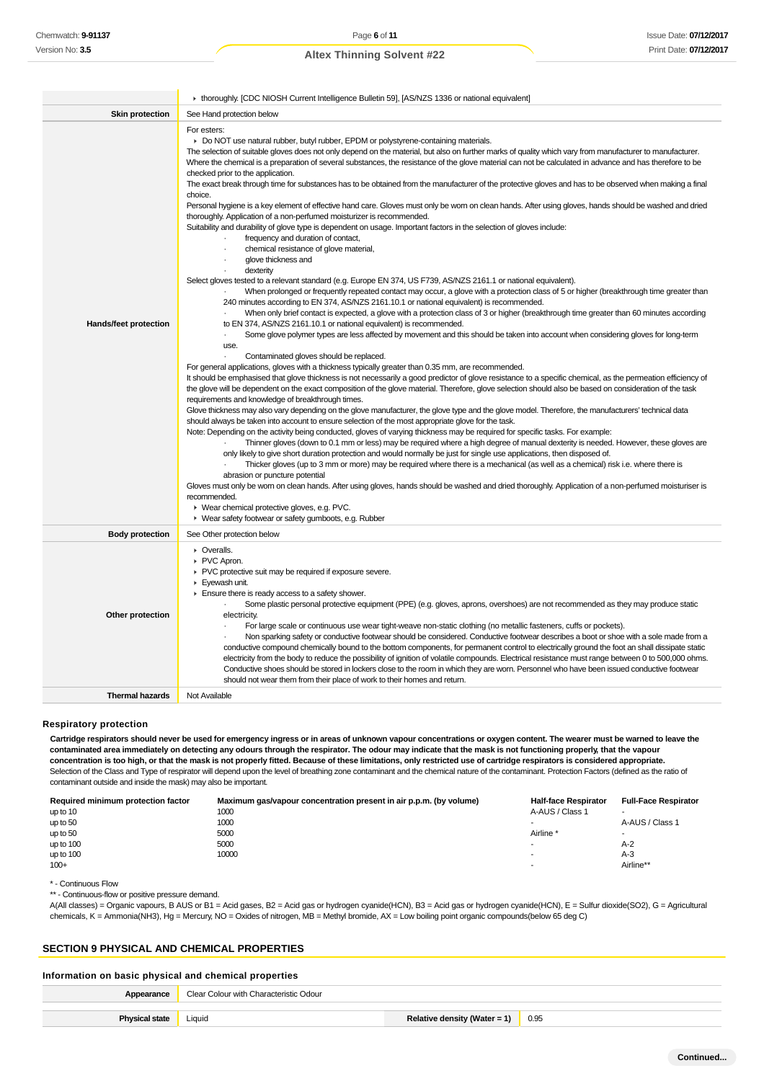|                        | ▶ thoroughly. [CDC NIOSH Current Intelligence Bulletin 59], [AS/NZS 1336 or national equivalent]                                                                                                                                                                                                                                                                                                                                                                                                                                                                                                                                                                                                                                                                                                                                                                                                                                                                                                                                                                                                                                                                                                                                                                                                                                                                                                                                                                                                                                                                                                                                                                                                                                                                                                                                                                                                                                                                                                                                                                                                                                                                                                                                                                                                                                                                                                                                                                                                                                                                                                                                                                                                                                                                                                                                                                                                                                                                                                                                                                                                                                                                                                                                                                                                                                                                                                                                                                                                                                             |  |  |
|------------------------|----------------------------------------------------------------------------------------------------------------------------------------------------------------------------------------------------------------------------------------------------------------------------------------------------------------------------------------------------------------------------------------------------------------------------------------------------------------------------------------------------------------------------------------------------------------------------------------------------------------------------------------------------------------------------------------------------------------------------------------------------------------------------------------------------------------------------------------------------------------------------------------------------------------------------------------------------------------------------------------------------------------------------------------------------------------------------------------------------------------------------------------------------------------------------------------------------------------------------------------------------------------------------------------------------------------------------------------------------------------------------------------------------------------------------------------------------------------------------------------------------------------------------------------------------------------------------------------------------------------------------------------------------------------------------------------------------------------------------------------------------------------------------------------------------------------------------------------------------------------------------------------------------------------------------------------------------------------------------------------------------------------------------------------------------------------------------------------------------------------------------------------------------------------------------------------------------------------------------------------------------------------------------------------------------------------------------------------------------------------------------------------------------------------------------------------------------------------------------------------------------------------------------------------------------------------------------------------------------------------------------------------------------------------------------------------------------------------------------------------------------------------------------------------------------------------------------------------------------------------------------------------------------------------------------------------------------------------------------------------------------------------------------------------------------------------------------------------------------------------------------------------------------------------------------------------------------------------------------------------------------------------------------------------------------------------------------------------------------------------------------------------------------------------------------------------------------------------------------------------------------------------------------------------------|--|--|
| <b>Skin protection</b> | See Hand protection below                                                                                                                                                                                                                                                                                                                                                                                                                                                                                                                                                                                                                                                                                                                                                                                                                                                                                                                                                                                                                                                                                                                                                                                                                                                                                                                                                                                                                                                                                                                                                                                                                                                                                                                                                                                                                                                                                                                                                                                                                                                                                                                                                                                                                                                                                                                                                                                                                                                                                                                                                                                                                                                                                                                                                                                                                                                                                                                                                                                                                                                                                                                                                                                                                                                                                                                                                                                                                                                                                                                    |  |  |
| Hands/feet protection  | For esters:<br>► Do NOT use natural rubber, butyl rubber, EPDM or polystyrene-containing materials.<br>The selection of suitable gloves does not only depend on the material, but also on further marks of quality which vary from manufacturer to manufacturer.<br>Where the chemical is a preparation of several substances, the resistance of the glove material can not be calculated in advance and has therefore to be<br>checked prior to the application.<br>The exact break through time for substances has to be obtained from the manufacturer of the protective gloves and has to be observed when making a final<br>choice.<br>Personal hygiene is a key element of effective hand care. Gloves must only be worn on clean hands. After using gloves, hands should be washed and dried<br>thoroughly. Application of a non-perfumed moisturizer is recommended.<br>Suitability and durability of glove type is dependent on usage. Important factors in the selection of gloves include:<br>frequency and duration of contact,<br>chemical resistance of glove material,<br>glove thickness and<br>dexterity<br>Select gloves tested to a relevant standard (e.g. Europe EN 374, US F739, AS/NZS 2161.1 or national equivalent).<br>When prolonged or frequently repeated contact may occur, a glove with a protection class of 5 or higher (breakthrough time greater than<br>240 minutes according to EN 374, AS/NZS 2161.10.1 or national equivalent) is recommended.<br>When only brief contact is expected, a glove with a protection class of 3 or higher (breakthrough time greater than 60 minutes according<br>to EN 374, AS/NZS 2161.10.1 or national equivalent) is recommended.<br>Some glove polymer types are less affected by movement and this should be taken into account when considering gloves for long-term<br>use.<br>Contaminated gloves should be replaced.<br>$\ddot{\phantom{a}}$<br>For general applications, gloves with a thickness typically greater than 0.35 mm, are recommended.<br>It should be emphasised that glove thickness is not necessarily a good predictor of glove resistance to a specific chemical, as the permeation efficiency of<br>the glove will be dependent on the exact composition of the glove material. Therefore, glove selection should also be based on consideration of the task<br>requirements and knowledge of breakthrough times.<br>Glove thickness may also vary depending on the glove manufacturer, the glove type and the glove model. Therefore, the manufacturers' technical data<br>should always be taken into account to ensure selection of the most appropriate glove for the task.<br>Note: Depending on the activity being conducted, gloves of varying thickness may be required for specific tasks. For example:<br>Thinner gloves (down to 0.1 mm or less) may be required where a high degree of manual dexterity is needed. However, these gloves are<br>only likely to give short duration protection and would normally be just for single use applications, then disposed of.<br>Thicker gloves (up to 3 mm or more) may be required where there is a mechanical (as well as a chemical) risk i.e. where there is<br>abrasion or puncture potential<br>Gloves must only be worn on clean hands. After using gloves, hands should be washed and dried thoroughly. Application of a non-perfumed moisturiser is<br>recommended.<br>▶ Wear chemical protective gloves, e.g. PVC.<br>▶ Wear safety footwear or safety gumboots, e.g. Rubber |  |  |
|                        |                                                                                                                                                                                                                                                                                                                                                                                                                                                                                                                                                                                                                                                                                                                                                                                                                                                                                                                                                                                                                                                                                                                                                                                                                                                                                                                                                                                                                                                                                                                                                                                                                                                                                                                                                                                                                                                                                                                                                                                                                                                                                                                                                                                                                                                                                                                                                                                                                                                                                                                                                                                                                                                                                                                                                                                                                                                                                                                                                                                                                                                                                                                                                                                                                                                                                                                                                                                                                                                                                                                                              |  |  |
| <b>Body protection</b> | See Other protection below                                                                                                                                                                                                                                                                                                                                                                                                                                                                                                                                                                                                                                                                                                                                                                                                                                                                                                                                                                                                                                                                                                                                                                                                                                                                                                                                                                                                                                                                                                                                                                                                                                                                                                                                                                                                                                                                                                                                                                                                                                                                                                                                                                                                                                                                                                                                                                                                                                                                                                                                                                                                                                                                                                                                                                                                                                                                                                                                                                                                                                                                                                                                                                                                                                                                                                                                                                                                                                                                                                                   |  |  |
| Other protection       | • Overalls.<br>▶ PVC Apron.<br>▶ PVC protective suit may be required if exposure severe.<br>Eyewash unit.<br>Ensure there is ready access to a safety shower.<br>Some plastic personal protective equipment (PPE) (e.g. gloves, aprons, overshoes) are not recommended as they may produce static<br>electricity.<br>For large scale or continuous use wear tight-weave non-static clothing (no metallic fasteners, cuffs or pockets).<br>$\cdot$<br>Non sparking safety or conductive footwear should be considered. Conductive footwear describes a boot or shoe with a sole made from a<br>conductive compound chemically bound to the bottom components, for permanent control to electrically ground the foot an shall dissipate static<br>electricity from the body to reduce the possibility of ignition of volatile compounds. Electrical resistance must range between 0 to 500,000 ohms.<br>Conductive shoes should be stored in lockers close to the room in which they are worn. Personnel who have been issued conductive footwear<br>should not wear them from their place of work to their homes and return.                                                                                                                                                                                                                                                                                                                                                                                                                                                                                                                                                                                                                                                                                                                                                                                                                                                                                                                                                                                                                                                                                                                                                                                                                                                                                                                                                                                                                                                                                                                                                                                                                                                                                                                                                                                                                                                                                                                                                                                                                                                                                                                                                                                                                                                                                                                                                                                                                  |  |  |
| <b>Thermal hazards</b> | Not Available                                                                                                                                                                                                                                                                                                                                                                                                                                                                                                                                                                                                                                                                                                                                                                                                                                                                                                                                                                                                                                                                                                                                                                                                                                                                                                                                                                                                                                                                                                                                                                                                                                                                                                                                                                                                                                                                                                                                                                                                                                                                                                                                                                                                                                                                                                                                                                                                                                                                                                                                                                                                                                                                                                                                                                                                                                                                                                                                                                                                                                                                                                                                                                                                                                                                                                                                                                                                                                                                                                                                |  |  |

### **Respiratory protection**

**Cartridge respirators should never be used for emergency ingress or in areas of unknown vapour concentrations or oxygen content. The wearer must be warned to leave the contaminated area immediately on detecting any odours through the respirator. The odour may indicate that the mask is not functioning properly, that the vapour concentration is too high, or that the mask is not properly fitted. Because of these limitations, only restricted use of cartridge respirators is considered appropriate.** Selection of the Class and Type of respirator will depend upon the level of breathing zone contaminant and the chemical nature of the contaminant. Protection Factors (defined as the ratio of contaminant outside and inside the mask) may also be important.

| Required minimum protection factor | Maximum gas/vapour concentration present in air p.p.m. (by volume) | <b>Half-face Respirator</b> | <b>Full-Face Respirator</b> |
|------------------------------------|--------------------------------------------------------------------|-----------------------------|-----------------------------|
| up to 10                           | 1000                                                               | A-AUS / Class 1             | -                           |
| up to 50                           | 1000                                                               |                             | A-AUS / Class 1             |
| up to 50                           | 5000                                                               | Airline                     | $\overline{\phantom{a}}$    |
| up to 100                          | 5000                                                               | -                           | A-2                         |
| up to 100                          | 10000                                                              | -                           | A-3                         |
| $100+$                             |                                                                    | ۰                           | Airline**                   |

\* - Continuous Flow

\*\* - Continuous-flow or positive pressure demand.

A(All classes) = Organic vapours, B AUS or B1 = Acid gases, B2 = Acid gas or hydrogen cyanide(HCN), B3 = Acid gas or hydrogen cyanide(HCN), E = Sulfur dioxide(SO2), G = Agricultural chemicals, K = Ammonia(NH3), Hg = Mercury, NO = Oxides of nitrogen, MB = Methyl bromide, AX = Low boiling point organic compounds(below 65 deg C)

# **SECTION 9 PHYSICAL AND CHEMICAL PROPERTIES**

### **Information on basic physical and chemical properties**

| Appearance            | Clear Colour with Characteristic Odour |                              |      |
|-----------------------|----------------------------------------|------------------------------|------|
| <b>Physical state</b> | Liquid                                 | Relative density (Water = 1) | 0.95 |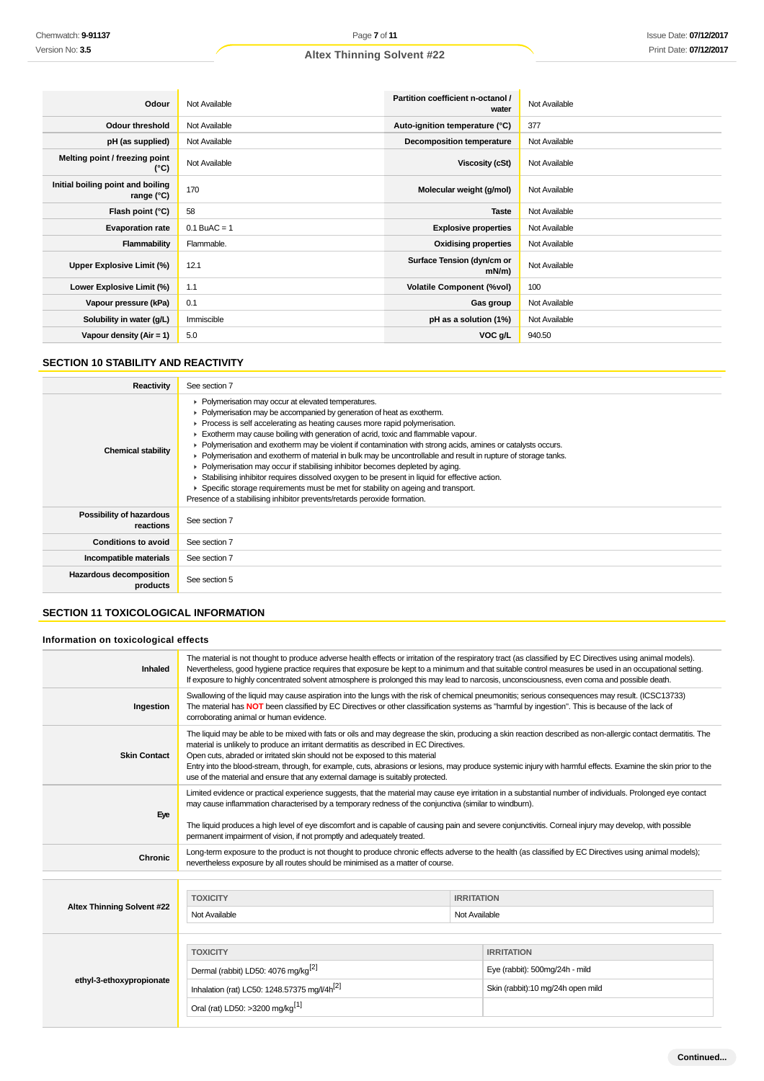| Odour                                             | Not Available  | Partition coefficient n-octanol /<br>water | Not Available |
|---------------------------------------------------|----------------|--------------------------------------------|---------------|
| <b>Odour threshold</b>                            | Not Available  | Auto-ignition temperature (°C)             | 377           |
| pH (as supplied)                                  | Not Available  | <b>Decomposition temperature</b>           | Not Available |
| Melting point / freezing point<br>(°C)            | Not Available  | Viscosity (cSt)                            | Not Available |
| Initial boiling point and boiling<br>range $(°C)$ | 170            | Molecular weight (g/mol)                   | Not Available |
| Flash point (°C)                                  | 58             | <b>Taste</b>                               | Not Available |
| <b>Evaporation rate</b>                           | $0.1$ BuAC = 1 | <b>Explosive properties</b>                | Not Available |
| Flammability                                      | Flammable.     | <b>Oxidising properties</b>                | Not Available |
| Upper Explosive Limit (%)                         | 12.1           | Surface Tension (dyn/cm or<br>$mN/m$ )     | Not Available |
| Lower Explosive Limit (%)                         | 1.1            | <b>Volatile Component (%vol)</b>           | 100           |
| Vapour pressure (kPa)                             | 0.1            | Gas group                                  | Not Available |
| Solubility in water (g/L)                         | Immiscible     | pH as a solution (1%)                      | Not Available |
| Vapour density $(Air = 1)$                        | 5.0            | VOC g/L                                    | 940.50        |

# **SECTION 10 STABILITY AND REACTIVITY**

| <b>Reactivity</b>                     | See section 7                                                                                                                                                                                                                                                                                                                                                                                                                                                                                                                                                                                                                                                                                                                                                                                                                                                                                                   |
|---------------------------------------|-----------------------------------------------------------------------------------------------------------------------------------------------------------------------------------------------------------------------------------------------------------------------------------------------------------------------------------------------------------------------------------------------------------------------------------------------------------------------------------------------------------------------------------------------------------------------------------------------------------------------------------------------------------------------------------------------------------------------------------------------------------------------------------------------------------------------------------------------------------------------------------------------------------------|
| <b>Chemical stability</b>             | • Polymerisation may occur at elevated temperatures.<br>• Polymerisation may be accompanied by generation of heat as exotherm.<br>$\blacktriangleright$ Process is self accelerating as heating causes more rapid polymerisation.<br>Exotherm may cause boiling with generation of acrid, toxic and flammable vapour.<br>• Polymerisation and exotherm may be violent if contamination with strong acids, amines or catalysts occurs.<br>• Polymerisation and exotherm of material in bulk may be uncontrollable and result in rupture of storage tanks.<br>• Polymerisation may occur if stabilising inhibitor becomes depleted by aging.<br>► Stabilising inhibitor requires dissolved oxygen to be present in liquid for effective action.<br>▶ Specific storage requirements must be met for stability on ageing and transport.<br>Presence of a stabilising inhibitor prevents/retards peroxide formation. |
| Possibility of hazardous<br>reactions | See section 7                                                                                                                                                                                                                                                                                                                                                                                                                                                                                                                                                                                                                                                                                                                                                                                                                                                                                                   |
| <b>Conditions to avoid</b>            | See section 7                                                                                                                                                                                                                                                                                                                                                                                                                                                                                                                                                                                                                                                                                                                                                                                                                                                                                                   |
| Incompatible materials                | See section 7                                                                                                                                                                                                                                                                                                                                                                                                                                                                                                                                                                                                                                                                                                                                                                                                                                                                                                   |
| Hazardous decomposition<br>products   | See section 5                                                                                                                                                                                                                                                                                                                                                                                                                                                                                                                                                                                                                                                                                                                                                                                                                                                                                                   |

# **SECTION 11 TOXICOLOGICAL INFORMATION**

# **Information on toxicological effects**

|                                   |                                                                                                                                                                                                                                                                                                                                                                                                                                                                                                                                                                                         |                                    | Nevertheless, good hygiene practice requires that exposure be kept to a minimum and that suitable control measures be used in an occupational setting.<br>If exposure to highly concentrated solvent atmosphere is prolonged this may lead to narcosis, unconsciousness, even coma and possible death. |
|-----------------------------------|-----------------------------------------------------------------------------------------------------------------------------------------------------------------------------------------------------------------------------------------------------------------------------------------------------------------------------------------------------------------------------------------------------------------------------------------------------------------------------------------------------------------------------------------------------------------------------------------|------------------------------------|--------------------------------------------------------------------------------------------------------------------------------------------------------------------------------------------------------------------------------------------------------------------------------------------------------|
| Ingestion                         | Swallowing of the liquid may cause aspiration into the lungs with the risk of chemical pneumonitis; serious consequences may result. (ICSC13733)<br>The material has NOT been classified by EC Directives or other classification systems as "harmful by ingestion". This is because of the lack of<br>corroborating animal or human evidence.                                                                                                                                                                                                                                          |                                    |                                                                                                                                                                                                                                                                                                        |
| <b>Skin Contact</b>               | The liquid may be able to be mixed with fats or oils and may degrease the skin, producing a skin reaction described as non-allergic contact dermatitis. The<br>material is unlikely to produce an irritant dermatitis as described in EC Directives.<br>Open cuts, abraded or irritated skin should not be exposed to this material<br>Entry into the blood-stream, through, for example, cuts, abrasions or lesions, may produce systemic injury with harmful effects. Examine the skin prior to the<br>use of the material and ensure that any external damage is suitably protected. |                                    |                                                                                                                                                                                                                                                                                                        |
| Eye                               | Limited evidence or practical experience suggests, that the material may cause eye irritation in a substantial number of individuals. Prolonged eye contact<br>may cause inflammation characterised by a temporary redness of the conjunctiva (similar to windburn).<br>The liquid produces a high level of eye discomfort and is capable of causing pain and severe conjunctivitis. Corneal injury may develop, with possible<br>permanent impairment of vision, if not promptly and adequately treated.                                                                               |                                    |                                                                                                                                                                                                                                                                                                        |
| Chronic                           | Long-term exposure to the product is not thought to produce chronic effects adverse to the health (as classified by EC Directives using animal models);<br>nevertheless exposure by all routes should be minimised as a matter of course.                                                                                                                                                                                                                                                                                                                                               |                                    |                                                                                                                                                                                                                                                                                                        |
| <b>Altex Thinning Solvent #22</b> | <b>TOXICITY</b><br>Not Available                                                                                                                                                                                                                                                                                                                                                                                                                                                                                                                                                        | <b>IRRITATION</b><br>Not Available |                                                                                                                                                                                                                                                                                                        |
| ethyl-3-ethoxypropionate          | <b>TOXICITY</b><br>Dermal (rabbit) LD50: 4076 mg/kg <sup>[2]</sup><br>Inhalation (rat) LC50: 1248.57375 mg/l/4h <sup>[2]</sup><br>Oral (rat) LD50: >3200 mg/kg <sup>[1]</sup>                                                                                                                                                                                                                                                                                                                                                                                                           |                                    | <b>IRRITATION</b><br>Eye (rabbit): 500mg/24h - mild<br>Skin (rabbit):10 mg/24h open mild                                                                                                                                                                                                               |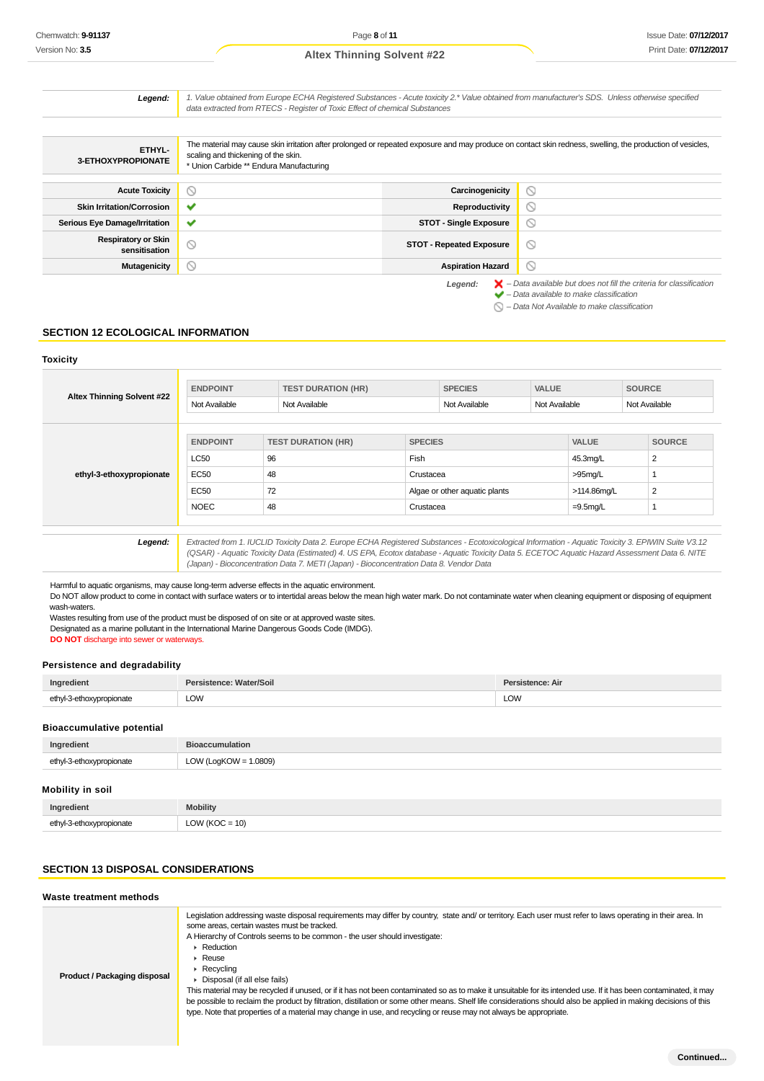| Legend:                                     | 1. Value obtained from Europe ECHA Registered Substances - Acute toxicity 2.* Value obtained from manufacturer's SDS. Unless otherwise specified<br>data extracted from RTECS - Register of Toxic Effect of chemical Substances              |                                 |                                                                                                                                                                                                                     |
|---------------------------------------------|----------------------------------------------------------------------------------------------------------------------------------------------------------------------------------------------------------------------------------------------|---------------------------------|---------------------------------------------------------------------------------------------------------------------------------------------------------------------------------------------------------------------|
|                                             |                                                                                                                                                                                                                                              |                                 |                                                                                                                                                                                                                     |
| ETHYL-<br>3-ETHOXYPROPIONATE                | The material may cause skin irritation after prolonged or repeated exposure and may produce on contact skin redness, swelling, the production of vesicles,<br>scaling and thickening of the skin.<br>* Union Carbide ** Endura Manufacturing |                                 |                                                                                                                                                                                                                     |
| <b>Acute Toxicity</b>                       | $\circ$                                                                                                                                                                                                                                      | Carcinogenicity                 | $\circ$                                                                                                                                                                                                             |
| <b>Skin Irritation/Corrosion</b>            |                                                                                                                                                                                                                                              | <b>Reproductivity</b>           | ∾                                                                                                                                                                                                                   |
| <b>Serious Eye Damage/Irritation</b>        | ✔                                                                                                                                                                                                                                            | <b>STOT - Single Exposure</b>   | $\circlearrowright$                                                                                                                                                                                                 |
| <b>Respiratory or Skin</b><br>sensitisation | $\circ$                                                                                                                                                                                                                                      | <b>STOT - Repeated Exposure</b> | ∾                                                                                                                                                                                                                   |
| <b>Mutagenicity</b>                         | $\circ$                                                                                                                                                                                                                                      | <b>Aspiration Hazard</b>        | $\circ$                                                                                                                                                                                                             |
|                                             |                                                                                                                                                                                                                                              | Legend:                         | $\blacktriangleright$ - Data available but does not fill the criteria for classification<br>$\blacktriangleright$ - Data available to make classification<br>$\bigcirc$ - Data Not Available to make classification |

# **SECTION 12 ECOLOGICAL INFORMATION**

#### **Toxicity**

| <b>Altex Thinning Solvent #22</b> | <b>ENDPOINT</b><br>Not Available | <b>TEST DURATION (HR)</b><br>Not Available                                                                                                                                                                                                                                                            |                   | <b>SPECIES</b><br>Not Available | <b>VALUE</b><br>Not Available |                            | <b>SOURCE</b><br>Not Available |
|-----------------------------------|----------------------------------|-------------------------------------------------------------------------------------------------------------------------------------------------------------------------------------------------------------------------------------------------------------------------------------------------------|-------------------|---------------------------------|-------------------------------|----------------------------|--------------------------------|
|                                   | <b>ENDPOINT</b>                  | <b>TEST DURATION (HR)</b>                                                                                                                                                                                                                                                                             | <b>SPECIES</b>    |                                 |                               | <b>VALUE</b>               | <b>SOURCE</b>                  |
| ethyl-3-ethoxypropionate          | <b>LC50</b><br><b>EC50</b>       | 96<br>48                                                                                                                                                                                                                                                                                              | Fish<br>Crustacea |                                 |                               | 45.3mg/L<br>$>95$ mg/L     | $\overline{2}$                 |
|                                   | <b>EC50</b><br><b>NOEC</b>       | 72<br>48                                                                                                                                                                                                                                                                                              | Crustacea         | Algae or other aquatic plants   |                               | >114.86mg/L<br>$=9.5$ mg/L | $\overline{2}$                 |
| Legend:                           |                                  | Extracted from 1. IUCLID Toxicity Data 2. Europe ECHA Registered Substances - Ecotoxicological Information - Aquatic Toxicity 3. EPIWIN Suite V3.12<br>(QSAR) - Aquatic Toxicity Data (Estimated) 4. US EPA, Ecotox database - Aquatic Toxicity Data 5. ECETOC Aquatic Hazard Assessment Data 6. NITE |                   |                                 |                               |                            |                                |
|                                   |                                  | (Japan) - Bioconcentration Data 7. METI (Japan) - Bioconcentration Data 8. Vendor Data                                                                                                                                                                                                                |                   |                                 |                               |                            |                                |

Harmful to aquatic organisms, may cause long-term adverse effects in the aquatic environment.

Do NOT allow product to come in contact with surface waters or to intertidal areas below the mean high water mark. Do not contaminate water when cleaning equipment or disposing of equipment wash-waters.

Wastes resulting from use of the product must be disposed of on site or at approved waste sites. Designated as a marine pollutant in the International Marine Dangerous Goods Code (IMDG).

**DO NOT** discharge into sewer or waterways.

### **Persistence and degradability**

| Ingredient               | Persistence: Water/Soil | Persistence: Air |
|--------------------------|-------------------------|------------------|
| ethyl-3-ethoxypropionate | LOW                     | LOW              |
|                          |                         |                  |

#### **Bioaccumulative potential**

| Ingredient               | <b>Bioaccumulation</b>   |
|--------------------------|--------------------------|
| ethyl-3-ethoxypropionate | LOW (LogKOW = $1.0809$ ) |

# **Mobility in soil**

| Ingredient              | obility                                                           |
|-------------------------|-------------------------------------------------------------------|
|                         |                                                                   |
| ethy!<br>жжан<br>.<br>. | $\Delta$<br>$\sim$<br>$^{\prime\prime}$<br>U<br>$\cdot$ - $\cdot$ |

# **SECTION 13 DISPOSAL CONSIDERATIONS**

#### **Waste treatment methods**

| Product / Packaging disposal | Legislation addressing waste disposal requirements may differ by country, state and/ or territory. Each user must refer to laws operating in their area. In<br>some areas, certain wastes must be tracked.<br>A Hierarchy of Controls seems to be common - the user should investigate:<br>$\blacktriangleright$ Reduction<br>$\triangleright$ Reuse<br>$\triangleright$ Recycling<br>• Disposal (if all else fails)<br>This material may be recycled if unused, or if it has not been contaminated so as to make it unsuitable for its intended use. If it has been contaminated, it may<br>be possible to reclaim the product by filtration, distillation or some other means. Shelf life considerations should also be applied in making decisions of this<br>type. Note that properties of a material may change in use, and recycling or reuse may not always be appropriate. |
|------------------------------|------------------------------------------------------------------------------------------------------------------------------------------------------------------------------------------------------------------------------------------------------------------------------------------------------------------------------------------------------------------------------------------------------------------------------------------------------------------------------------------------------------------------------------------------------------------------------------------------------------------------------------------------------------------------------------------------------------------------------------------------------------------------------------------------------------------------------------------------------------------------------------|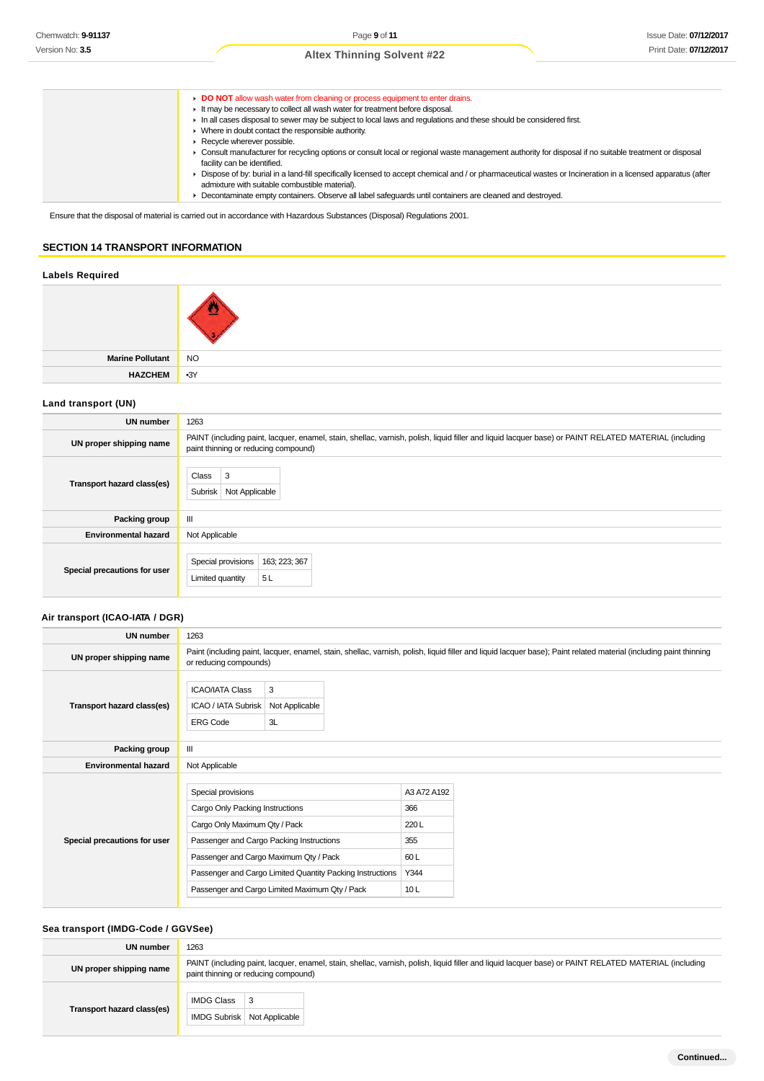- **DO NOT** allow wash water from cleaning or process equipment to enter drains. It may be necessary to collect all wash water for treatment before disposal. In all cases disposal to sewer may be subject to local laws and regulations and these should be considered first. ■ Where in doubt contact the responsible authority. Recycle wherever possible. Consult manufacturer for recycling options or consult local or regional waste management authority for disposal if no suitable treatment or disposal facility can be identified. Dispose of by: burial in a land-fill specifically licensed to accept chemical and / or pharmaceutical wastes or Incineration in a licensed apparatus (after admixture with suitable combustible material). Decontaminate empty containers. Observe all label safeguards until containers are cleaned and destroyed.
	-

Ensure that the disposal of material is carried out in accordance with Hazardous Substances (Disposal) Regulations 2001.

# **SECTION 14 TRANSPORT INFORMATION**

# **Labels Required**

| Marine Pollutant NO |       |
|---------------------|-------|
| <b>HAZCHEM</b>      | $-3Y$ |

## **Land transport (UN)**

| UN number                    | 1263                                                                                                                                                                                          |
|------------------------------|-----------------------------------------------------------------------------------------------------------------------------------------------------------------------------------------------|
| UN proper shipping name      | PAINT (including paint, lacquer, enamel, stain, shellac, varnish, polish, liquid filler and liquid lacquer base) or PAINT RELATED MATERIAL (including<br>paint thinning or reducing compound) |
| Transport hazard class(es)   | Class<br>3<br>Subrisk<br>Not Applicable                                                                                                                                                       |
| Packing group                | Ш                                                                                                                                                                                             |
| <b>Environmental hazard</b>  | Not Applicable                                                                                                                                                                                |
| Special precautions for user | Special provisions<br>163; 223; 367<br>5 L<br>Limited quantity                                                                                                                                |

# **Air transport (ICAO-IATA / DGR)**

| UN number                    | 1263                                                                                   |                                                                                                                                                                                                   |                                                          |                                                                                                                                                                    |
|------------------------------|----------------------------------------------------------------------------------------|---------------------------------------------------------------------------------------------------------------------------------------------------------------------------------------------------|----------------------------------------------------------|--------------------------------------------------------------------------------------------------------------------------------------------------------------------|
| UN proper shipping name      | or reducing compounds)                                                                 |                                                                                                                                                                                                   |                                                          | Paint (including paint, lacquer, enamel, stain, shellac, varnish, polish, liquid filler and liquid lacquer base); Paint related material (including paint thinning |
| Transport hazard class(es)   | <b>ICAO/IATA Class</b><br>ICAO / IATA Subrisk<br><b>ERG Code</b>                       | 3<br>Not Applicable<br>3L                                                                                                                                                                         |                                                          |                                                                                                                                                                    |
| Packing group                | Ш                                                                                      |                                                                                                                                                                                                   |                                                          |                                                                                                                                                                    |
| <b>Environmental hazard</b>  | Not Applicable                                                                         |                                                                                                                                                                                                   |                                                          |                                                                                                                                                                    |
| Special precautions for user | Special provisions<br>Cargo Only Packing Instructions<br>Cargo Only Maximum Qty / Pack | Passenger and Cargo Packing Instructions<br>Passenger and Cargo Maximum Qty / Pack<br>Passenger and Cargo Limited Quantity Packing Instructions<br>Passenger and Cargo Limited Maximum Qty / Pack | A3 A72 A192<br>366<br>220L<br>355<br>60 L<br>Y344<br>10L |                                                                                                                                                                    |

### **Sea transport (IMDG-Code / GGVSee)**

| UN number                  | 1263                                                                                                                                                                                          |
|----------------------------|-----------------------------------------------------------------------------------------------------------------------------------------------------------------------------------------------|
| UN proper shipping name    | PAINT (including paint, lacquer, enamel, stain, shellac, varnish, polish, liquid filler and liquid lacquer base) or PAINT RELATED MATERIAL (including<br>paint thinning or reducing compound) |
| Transport hazard class(es) | <b>IMDG Class</b><br><b>IMDG Subrisk</b><br>Not Applicable                                                                                                                                    |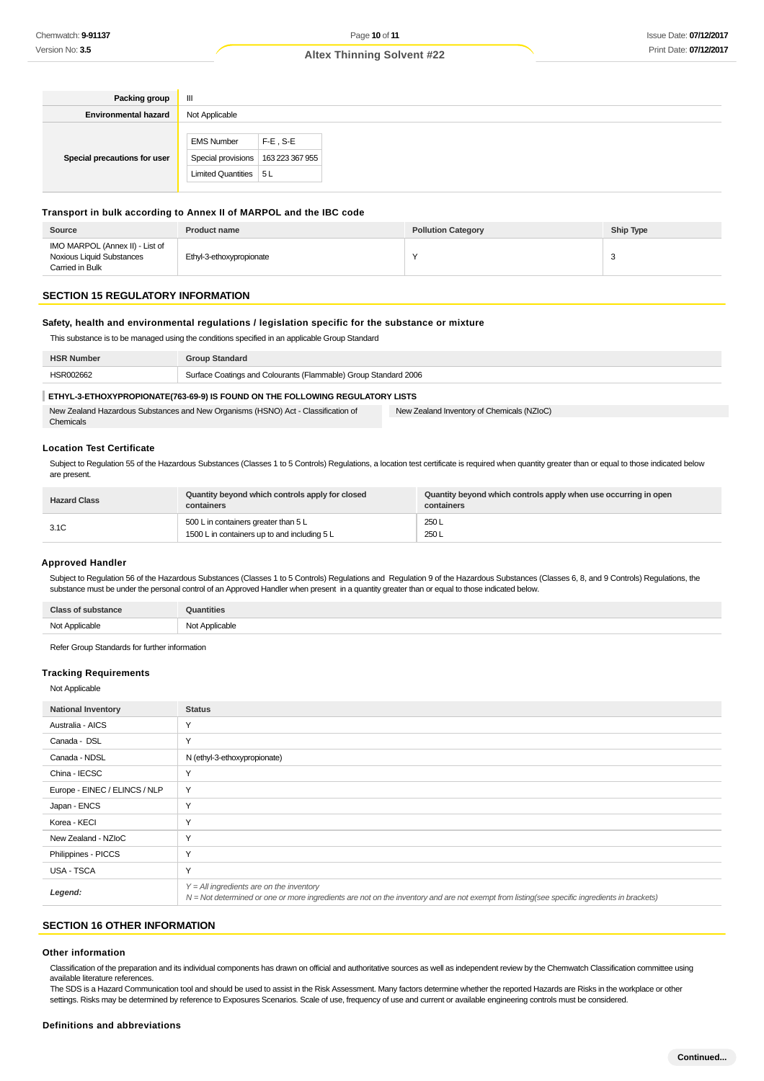| Packing group                | Ш                                    |             |
|------------------------------|--------------------------------------|-------------|
| <b>Environmental hazard</b>  | Not Applicable                       |             |
|                              |                                      |             |
|                              | <b>EMS Number</b>                    | $F-E$ , S-E |
| Special precautions for user | Special provisions   163 223 367 955 |             |
|                              | Limited Quantities   5 L             |             |

#### **Transport in bulk according to Annex II of MARPOL and the IBC code**

| Source                                                                          | <b>Product name</b>      | <b>Pollution Category</b> | Ship Type |
|---------------------------------------------------------------------------------|--------------------------|---------------------------|-----------|
| IMO MARPOL (Annex II) - List of<br>Noxious Liquid Substances<br>Carried in Bulk | Ethyl-3-ethoxypropionate |                           |           |

### **SECTION 15 REGULATORY INFORMATION**

### **Safety, health and environmental regulations / legislation specific for the substance or mixture**

This substance is to be managed using the conditions specified in an applicable Group Standard

| <b>HSR Number</b> | <b>Group Standard</b>                                           |
|-------------------|-----------------------------------------------------------------|
| HSR002662         | Surface Coatings and Colourants (Flammable) Group Standard 2006 |
|                   |                                                                 |

#### **ETHYL-3-ETHOXYPROPIONATE(763-69-9) IS FOUND ON THE FOLLOWING REGULATORY LISTS**

| New Zealand Hazardous Substances and New Organisms (HSNO) Act - Classification of | New Zealand Inventory of Chemicals (NZIoC) |  |
|-----------------------------------------------------------------------------------|--------------------------------------------|--|
| Chemicals                                                                         |                                            |  |

# **Location Test Certificate**

Subject to Regulation 55 of the Hazardous Substances (Classes 1 to 5 Controls) Regulations, a location test certificate is required when quantity greater than or equal to those indicated below are present.

| <b>Hazard Class</b> | Quantity beyond which controls apply for closed<br>containers                        | Quantity beyond which controls apply when use occurring in open<br>containers |
|---------------------|--------------------------------------------------------------------------------------|-------------------------------------------------------------------------------|
| 3.1C                | 500 L in containers greater than 5 L<br>1500 L in containers up to and including 5 L | 250L<br>250L                                                                  |

#### **Approved Handler**

Subject to Regulation 56 of the Hazardous Substances (Classes 1 to 5 Controls) Regulations and Regulation 9 of the Hazardous Substances (Classes 6, 8, and 9 Controls) Regulations, the substance must be under the personal control of an Approved Handler when present in a quantity greater than or equal to those indicated below.

| <b>Class of substance</b> | <b>Quantities</b> |
|---------------------------|-------------------|
| Not Applicable            | Not Applicable    |

Refer Group Standards for further information

#### **Tracking Requirements**

Not Applicable

| <b>National Inventory</b>     | <b>Status</b>                                                                                                                                                                              |
|-------------------------------|--------------------------------------------------------------------------------------------------------------------------------------------------------------------------------------------|
| Australia - AICS              | Y                                                                                                                                                                                          |
| Canada - DSL                  | Y                                                                                                                                                                                          |
| Canada - NDSL                 | N (ethyl-3-ethoxypropionate)                                                                                                                                                               |
| China - IECSC                 | Υ                                                                                                                                                                                          |
| Europe - EINEC / ELINCS / NLP | Y                                                                                                                                                                                          |
| Japan - ENCS                  | Y                                                                                                                                                                                          |
| Korea - KECI                  | Y                                                                                                                                                                                          |
| New Zealand - NZIoC           | Y                                                                                                                                                                                          |
| Philippines - PICCS           | Y                                                                                                                                                                                          |
| USA - TSCA                    | Y                                                                                                                                                                                          |
| Legend:                       | $Y = All$ ingredients are on the inventory<br>N = Not determined or one or more ingredients are not on the inventory and are not exempt from listing(see specific ingredients in brackets) |

#### **SECTION 16 OTHER INFORMATION**

#### **Other information**

Classification of the preparation and its individual components has drawn on official and authoritative sources as well as independent review by the Chemwatch Classification committee using available literature references.

The SDS is a Hazard Communication tool and should be used to assist in the Risk Assessment. Many factors determine whether the reported Hazards are Risks in the workplace or other settings. Risks may be determined by reference to Exposures Scenarios. Scale of use, frequency of use and current or available engineering controls must be considered.

#### **Definitions and abbreviations**